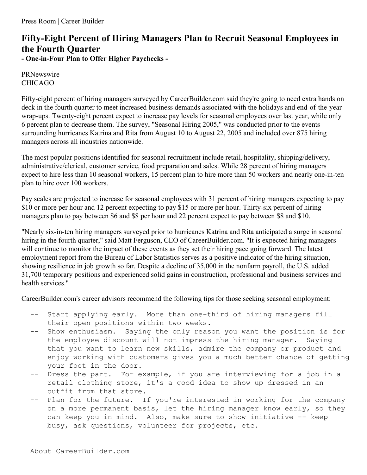## **Fifty-Eight Percent of Hiring Managers Plan to Recruit Seasonal Employees in the Fourth Quarter - One-in-Four Plan to Offer Higher Paychecks -**

PRNewswire CHICAGO

Fifty-eight percent of hiring managers surveyed by CareerBuilder.com said they're going to need extra hands on deck in the fourth quarter to meet increased business demands associated with the holidays and end-of-the-year wrap-ups. Twenty-eight percent expect to increase pay levels for seasonal employees over last year, while only 6 percent plan to decrease them. The survey, "Seasonal Hiring 2005," was conducted prior to the events surrounding hurricanes Katrina and Rita from August 10 to August 22, 2005 and included over 875 hiring managers across all industries nationwide.

The most popular positions identified for seasonal recruitment include retail, hospitality, shipping/delivery, administrative/clerical, customer service, food preparation and sales. While 28 percent of hiring managers expect to hire less than 10 seasonal workers, 15 percent plan to hire more than 50 workers and nearly one-in-ten plan to hire over 100 workers.

Pay scales are projected to increase for seasonal employees with 31 percent of hiring managers expecting to pay \$10 or more per hour and 12 percent expecting to pay \$15 or more per hour. Thirty-six percent of hiring managers plan to pay between \$6 and \$8 per hour and 22 percent expect to pay between \$8 and \$10.

"Nearly six-in-ten hiring managers surveyed prior to hurricanes Katrina and Rita anticipated a surge in seasonal hiring in the fourth quarter," said Matt Ferguson, CEO of CareerBuilder.com. "It is expected hiring managers will continue to monitor the impact of these events as they set their hiring pace going forward. The latest employment report from the Bureau of Labor Statistics serves as a positive indicator of the hiring situation, showing resilience in job growth so far. Despite a decline of 35,000 in the nonfarm payroll, the U.S. added 31,700 temporary positions and experienced solid gains in construction, professional and business services and health services."

CareerBuilder.com's career advisors recommend the following tips for those seeking seasonal employment:

- -- Start applying early. More than one-third of hiring managers fill their open positions within two weeks.
- -- Show enthusiasm. Saying the only reason you want the position is for the employee discount will not impress the hiring manager. Saying that you want to learn new skills, admire the company or product and enjoy working with customers gives you a much better chance of getting your foot in the door.
- Dress the part. For example, if you are interviewing for a job in a retail clothing store, it's a good idea to show up dressed in an outfit from that store.
- Plan for the future. If you're interested in working for the company on a more permanent basis, let the hiring manager know early, so they can keep you in mind. Also, make sure to show initiative -- keep busy, ask questions, volunteer for projects, etc.